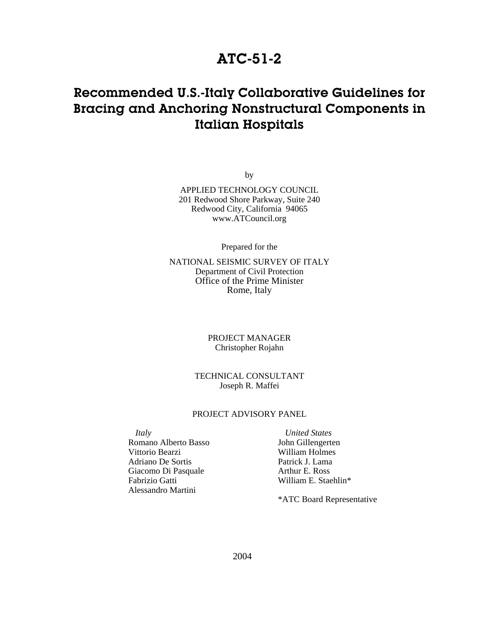### **ATC-51-2**

## **Recommended U.S.-Italy Collaborative Guidelines for Bracing and Anchoring Nonstructural Components in Italian Hospitals**

by

APPLIED TECHNOLOGY COUNCIL 201 Redwood Shore Parkway, Suite 240 Redwood City, California 94065 www.ATCouncil.org

Prepared for the

NATIONAL SEISMIC SURVEY OF ITALY Department of Civil Protection Office of the Prime Minister Rome, Italy

> PROJECT MANAGER Christopher Rojahn

TECHNICAL CONSULTANT Joseph R. Maffei

#### PROJECT ADVISORY PANEL

*Italy* Romano Alberto Basso Vittorio Bearzi Adriano De Sortis Giacomo Di Pasquale Fabrizio Gatti Alessandro Martini

*United States*  John Gillengerten William Holmes Patrick J. Lama Arthur E. Ross William E. Staehlin\*

\*ATC Board Representative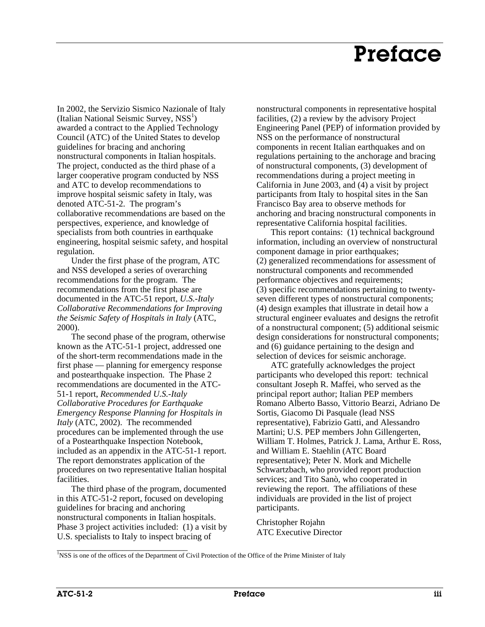## **Preface**

In 2002, the Servizio Sismico Nazionale of Italy (Italian National Seismic Survey, NSS<sup>1</sup>) awarded a contract to the Applied Technology Council (ATC) of the United States to develop guidelines for bracing and anchoring nonstructural components in Italian hospitals. The project, conducted as the third phase of a larger cooperative program conducted by NSS and ATC to develop recommendations to improve hospital seismic safety in Italy, was denoted ATC-51-2. The program's collaborative recommendations are based on the perspectives, experience, and knowledge of specialists from both countries in earthquake engineering, hospital seismic safety, and hospital regulation.

Under the first phase of the program, ATC and NSS developed a series of overarching recommendations for the program. The recommendations from the first phase are documented in the ATC-51 report, *U.S.-Italy Collaborative Recommendations for Improving the Seismic Safety of Hospitals in Italy* (ATC, 2000).

The second phase of the program, otherwise known as the ATC-51-1 project, addressed one of the short-term recommendations made in the first phase — planning for emergency response and postearthquake inspection. The Phase 2 recommendations are documented in the ATC-51-1 report, *Recommended U.S.-Italy Collaborative Procedures for Earthquake Emergency Response Planning for Hospitals in Italy* (ATC, 2002). The recommended procedures can be implemented through the use of a Postearthquake Inspection Notebook, included as an appendix in the ATC-51-1 report. The report demonstrates application of the procedures on two representative Italian hospital facilities.

The third phase of the program, documented in this ATC-51-2 report, focused on developing guidelines for bracing and anchoring nonstructural components in Italian hospitals. Phase 3 project activities included: (1) a visit by U.S. specialists to Italy to inspect bracing of

\_\_\_\_\_\_\_\_\_\_\_\_\_\_\_\_\_\_\_\_\_\_\_\_\_\_\_\_\_\_

nonstructural components in representative hospital facilities, (2) a review by the advisory Project Engineering Panel (PEP) of information provided by NSS on the performance of nonstructural components in recent Italian earthquakes and on regulations pertaining to the anchorage and bracing of nonstructural components, (3) development of recommendations during a project meeting in California in June 2003, and (4) a visit by project participants from Italy to hospital sites in the San Francisco Bay area to observe methods for anchoring and bracing nonstructural components in representative California hospital facilities.

This report contains: (1) technical background information, including an overview of nonstructural component damage in prior earthquakes; (2) generalized recommendations for assessment of nonstructural components and recommended performance objectives and requirements; (3) specific recommendations pertaining to twentyseven different types of nonstructural components; (4) design examples that illustrate in detail how a structural engineer evaluates and designs the retrofit of a nonstructural component; (5) additional seismic design considerations for nonstructural components; and (6) guidance pertaining to the design and selection of devices for seismic anchorage.

ATC gratefully acknowledges the project participants who developed this report: technical consultant Joseph R. Maffei, who served as the principal report author; Italian PEP members Romano Alberto Basso, Vittorio Bearzi, Adriano De Sortis, Giacomo Di Pasquale (lead NSS representative), Fabrizio Gatti, and Alessandro Martini; U.S. PEP members John Gillengerten, William T. Holmes, Patrick J. Lama, Arthur E. Ross, and William E. Staehlin (ATC Board representative); Peter N. Mork and Michelle Schwartzbach, who provided report production services; and Tito Sanò, who cooperated in reviewing the report. The affiliations of these individuals are provided in the list of project participants.

Christopher Rojahn ATC Executive Director

<sup>&</sup>lt;sup>1</sup>NSS is one of the offices of the Department of Civil Protection of the Office of the Prime Minister of Italy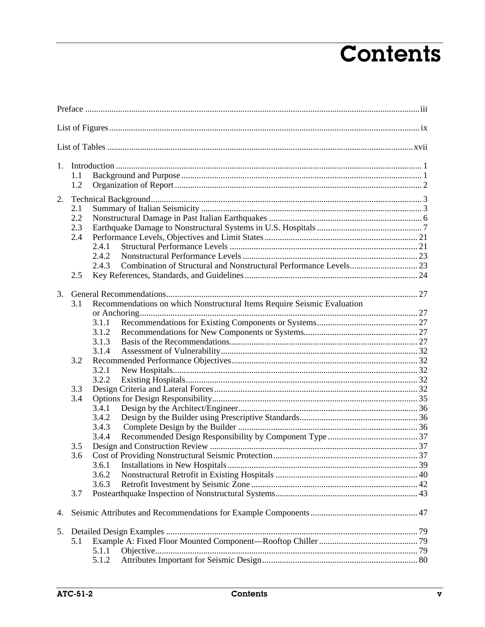# **Contents**

| 1. |            |                                                                         |  |  |  |
|----|------------|-------------------------------------------------------------------------|--|--|--|
|    | 1.1<br>1.2 |                                                                         |  |  |  |
| 2. |            |                                                                         |  |  |  |
|    | 2.1        |                                                                         |  |  |  |
|    | 2.2        |                                                                         |  |  |  |
|    | 2.3        |                                                                         |  |  |  |
|    | 2.4        |                                                                         |  |  |  |
|    |            | 2.4.1                                                                   |  |  |  |
|    |            | 2.4.2                                                                   |  |  |  |
|    |            | 2.4.3                                                                   |  |  |  |
|    | 2.5        |                                                                         |  |  |  |
| 3. |            |                                                                         |  |  |  |
|    | 3.1        | Recommendations on which Nonstructural Items Require Seismic Evaluation |  |  |  |
|    |            |                                                                         |  |  |  |
|    |            | 3.1.1                                                                   |  |  |  |
|    |            | 3.1.2                                                                   |  |  |  |
|    |            | 3.1.3                                                                   |  |  |  |
|    |            | 3.1.4                                                                   |  |  |  |
|    | 3.2        |                                                                         |  |  |  |
|    |            | 3.2.1                                                                   |  |  |  |
|    |            | 3.2.2                                                                   |  |  |  |
|    | 3.3        |                                                                         |  |  |  |
|    | 3.4        |                                                                         |  |  |  |
|    |            | 3.4.1                                                                   |  |  |  |
|    |            | 3.4.2                                                                   |  |  |  |
|    |            | 3.4.3                                                                   |  |  |  |
|    |            | 3.4.4                                                                   |  |  |  |
|    | 3.5        |                                                                         |  |  |  |
|    | 3.6        |                                                                         |  |  |  |
|    |            | 3.6.1                                                                   |  |  |  |
|    |            | 3.6.2                                                                   |  |  |  |
|    |            | 3.6.3                                                                   |  |  |  |
|    | 3.7        |                                                                         |  |  |  |
| 4. |            |                                                                         |  |  |  |
| 5. |            |                                                                         |  |  |  |
|    | 5.1        |                                                                         |  |  |  |
|    |            | 5.1.1                                                                   |  |  |  |
|    |            | 5.1.2                                                                   |  |  |  |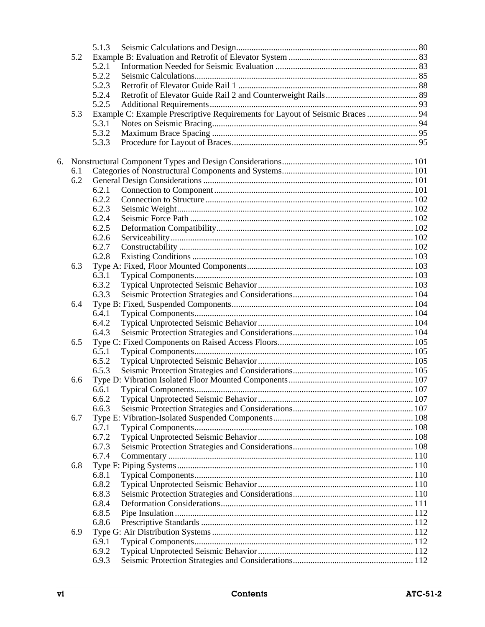|    |     | 5.1.3 |                                                                               |  |
|----|-----|-------|-------------------------------------------------------------------------------|--|
|    | 5.2 |       |                                                                               |  |
|    |     | 5.2.1 |                                                                               |  |
|    |     | 5.2.2 |                                                                               |  |
|    |     | 5.2.3 |                                                                               |  |
|    |     | 5.2.4 |                                                                               |  |
|    |     | 5.2.5 |                                                                               |  |
|    | 5.3 |       | Example C: Example Prescriptive Requirements for Layout of Seismic Braces  94 |  |
|    |     | 5.3.1 |                                                                               |  |
|    |     | 5.3.2 |                                                                               |  |
|    |     |       |                                                                               |  |
|    |     | 5.3.3 |                                                                               |  |
|    |     |       |                                                                               |  |
| 6. |     |       |                                                                               |  |
|    | 6.1 |       |                                                                               |  |
|    | 6.2 |       |                                                                               |  |
|    |     | 6.2.1 |                                                                               |  |
|    |     | 6.2.2 |                                                                               |  |
|    |     | 6.2.3 |                                                                               |  |
|    |     | 6.2.4 |                                                                               |  |
|    |     | 6.2.5 |                                                                               |  |
|    |     | 6.2.6 |                                                                               |  |
|    |     | 6.2.7 |                                                                               |  |
|    |     | 6.2.8 |                                                                               |  |
|    | 6.3 |       |                                                                               |  |
|    |     | 6.3.1 |                                                                               |  |
|    |     | 6.3.2 |                                                                               |  |
|    |     | 6.3.3 |                                                                               |  |
|    | 6.4 |       |                                                                               |  |
|    |     | 6.4.1 |                                                                               |  |
|    |     | 6.4.2 |                                                                               |  |
|    |     | 6.4.3 |                                                                               |  |
|    | 6.5 |       |                                                                               |  |
|    |     | 6.5.1 |                                                                               |  |
|    |     | 6.5.2 |                                                                               |  |
|    |     | 6.5.3 |                                                                               |  |
|    | 6.6 |       |                                                                               |  |
|    |     | 6.6.1 |                                                                               |  |
|    |     | 6.6.2 |                                                                               |  |
|    |     |       |                                                                               |  |
|    |     | 6.6.3 |                                                                               |  |
|    | 6.7 |       |                                                                               |  |
|    |     | 6.7.1 |                                                                               |  |
|    |     | 6.7.2 |                                                                               |  |
|    |     | 6.7.3 |                                                                               |  |
|    |     | 6.7.4 |                                                                               |  |
|    | 6.8 |       |                                                                               |  |
|    |     | 6.8.1 |                                                                               |  |
|    |     | 6.8.2 |                                                                               |  |
|    |     | 6.8.3 |                                                                               |  |
|    |     | 6.8.4 |                                                                               |  |
|    |     | 6.8.5 |                                                                               |  |
|    |     | 6.8.6 |                                                                               |  |
|    | 6.9 |       |                                                                               |  |
|    |     | 6.9.1 |                                                                               |  |
|    |     | 6.9.2 |                                                                               |  |
|    |     | 6.9.3 |                                                                               |  |
|    |     |       |                                                                               |  |